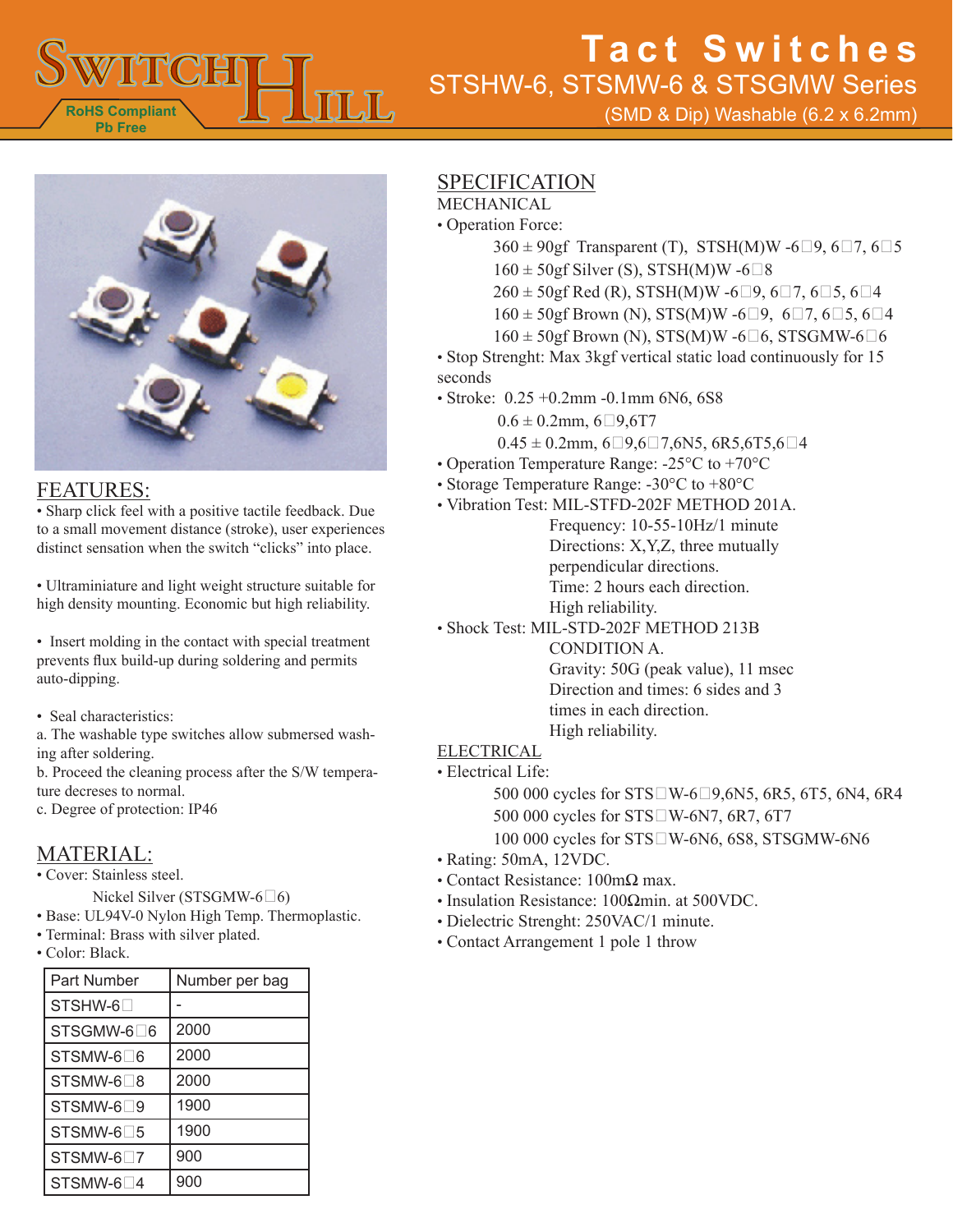

(SMD & Dip) Washable (6.2 x 6.2mm)



## FEATURES:

• Sharp click feel with a positive tactile feedback. Due to a small movement distance (stroke), user experiences distinct sensation when the switch "clicks" into place.

• Ultraminiature and light weight structure suitable for high density mounting. Economic but high reliability.

• Insert molding in the contact with special treatment prevents flux build-up during soldering and permits auto-dipping.

• Seal characteristics:

a. The washable type switches allow submersed washing after soldering.

b. Proceed the cleaning process after the S/W temperature decreses to normal.

c. Degree of protection: IP46

## MATERIAL:

• Cover: Stainless steel.

Nickel Silver (STSGMW-6 $\Box$ 6)

• Base: UL94V-0 Nylon High Temp. Thermoplastic.

- Terminal: Brass with silver plated.
- Color: Black.

| Part Number                          | Number per bag |
|--------------------------------------|----------------|
| STSHW-6□                             |                |
| STSGMW-6□6                           | 2000           |
| STSMW-6∏6                            | 2000           |
| STSMW-6□8                            | 2000           |
| STSMW-6□9                            | 1900           |
| $STSMW-6$ <sup>5</sup>               | 1900           |
| STSMW-6□7                            | 900            |
| $STSMW-6$ <sup><math>-4</math></sup> | 900            |

## SPECIFICATION

MECHANICAL

- Operation Force:
	- $360 \pm 90$ gf Transparent (T), STSH(M)W -6 $\Box$ 9, 6 $\Box$ 7, 6 $\Box$ 5  $160 \pm 50$ gf Silver (S), STSH(M)W -6 $\square$ 8
	-
	- $260 \pm 50$ gf Red (R), STSH(M)W -6 $\Box$ 9, 6 $\Box$ 7, 6 $\Box$ 5, 6 $\Box$ 4  $160 \pm 50$ gf Brown (N), STS(M)W -6 $\Box$ 9, 6 $\Box$ 7, 6 $\Box$ 5, 6 $\Box$ 4
	- $160 \pm 50$ gf Brown (N), STS(M)W -6 $\Box$ 6, STSGMW-6 $\Box$ 6
- Stop Strenght: Max 3kgf vertical static load continuously for 15
- seconds
- Stroke: 0.25 +0.2mm -0.1mm 6N6, 6S8
	- $0.6 \pm 0.2$ mm,  $6\square 9.6$ T7
	- $0.45 \pm 0.2$ mm, 6 $\Box$ 9,6 $\Box$ 7,6N5, 6R5,6T5,6 $\Box$ 4
- Operation Temperature Range: -25°C to +70°C
- Storage Temperature Range: -30°C to +80°C
- Vibration Test: MIL-STFD-202F METHOD 201A.
	- Frequency: 10-55-10Hz/1 minute Directions: X,Y,Z, three mutually perpendicular directions. Time: 2 hours each direction. High reliability.
- Shock Test: MIL-STD-202F METHOD 213B

CONDITION A. Gravity: 50G (peak value), 11 msec Direction and times: 6 sides and 3 times in each direction. High reliability.

#### ELECTRICAL

• Electrical Life:

500 000 cycles for  $STSWW-6D9,6N5, 6R5, 6T5, 6N4, 6R4$ 500 000 cycles for STS<sup>O</sup>W-6N7, 6R7, 6T7 100 000 cycles for STS□W-6N6, 6S8, STSGMW-6N6

- Rating: 50mA, 12VDC.
- Contact Resistance: 100mΩ max.
- Insulation Resistance: 100Ωmin. at 500VDC.
- Dielectric Strenght: 250VAC/1 minute.
- Contact Arrangement 1 pole 1 throw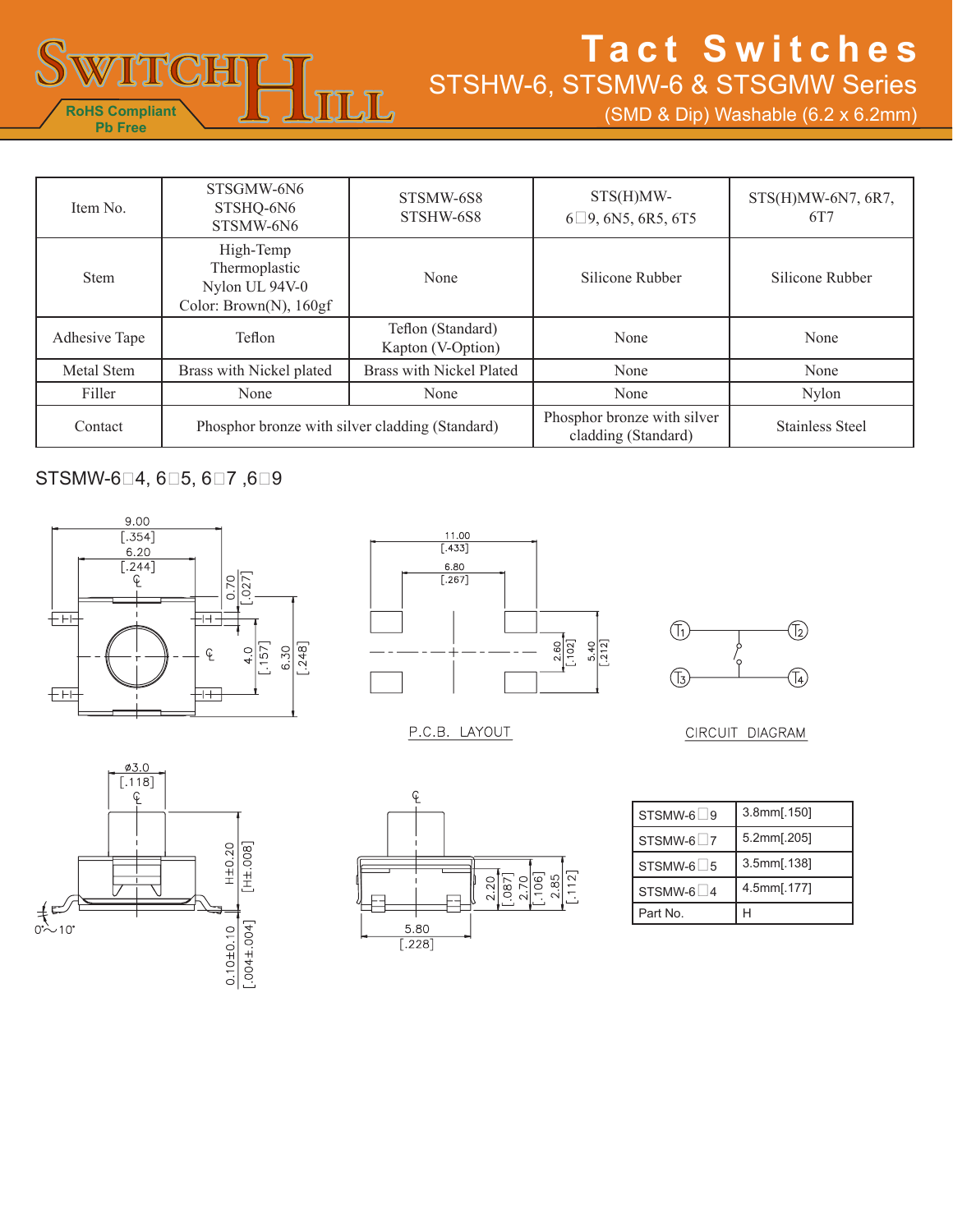

(SMD & Dip) Washable (6.2 x 6.2mm)

| Item No.                                                   | STSGMW-6N6<br>STSHQ-6N6<br>STSMW-6N6                                   | STSMW-6S8<br>STSHW-6S8                             | STS(H)MW-<br>$6\Box$ 9, 6N5, 6R5, 6T5 | $STS(H)MW-6N7, 6R7,$<br>6T7 |
|------------------------------------------------------------|------------------------------------------------------------------------|----------------------------------------------------|---------------------------------------|-----------------------------|
| <b>Stem</b>                                                | High-Temp<br>Thermoplastic<br>Nylon UL 94V-0<br>Color: Brown(N), 160gf | None                                               | Silicone Rubber                       | Silicone Rubber             |
| Adhesive Tape                                              | Teflon                                                                 | Teflon (Standard)<br>Kapton (V-Option)             | None                                  | None                        |
| Metal Stem                                                 | Brass with Nickel plated                                               | Brass with Nickel Plated                           | None                                  | None                        |
| Filler                                                     | None                                                                   | None                                               | None                                  | <b>Nylon</b>                |
| Phosphor bronze with silver cladding (Standard)<br>Contact |                                                                        | Phosphor bronze with silver<br>cladding (Standard) | <b>Stainless Steel</b>                |                             |

### STSMW-604, 605, 607, 609





P.C.B. LAYOUT



#### CIRCUIT DIAGRAM





| STSMW-6 9 | 3.8mm[.150] |
|-----------|-------------|
| STSMW-6∐7 | 5.2mm[.205] |
| STSMW-6 5 | 3.5mm[.138] |
| STSMW-6∐4 | 4.5mm[.177] |
| Part No.  |             |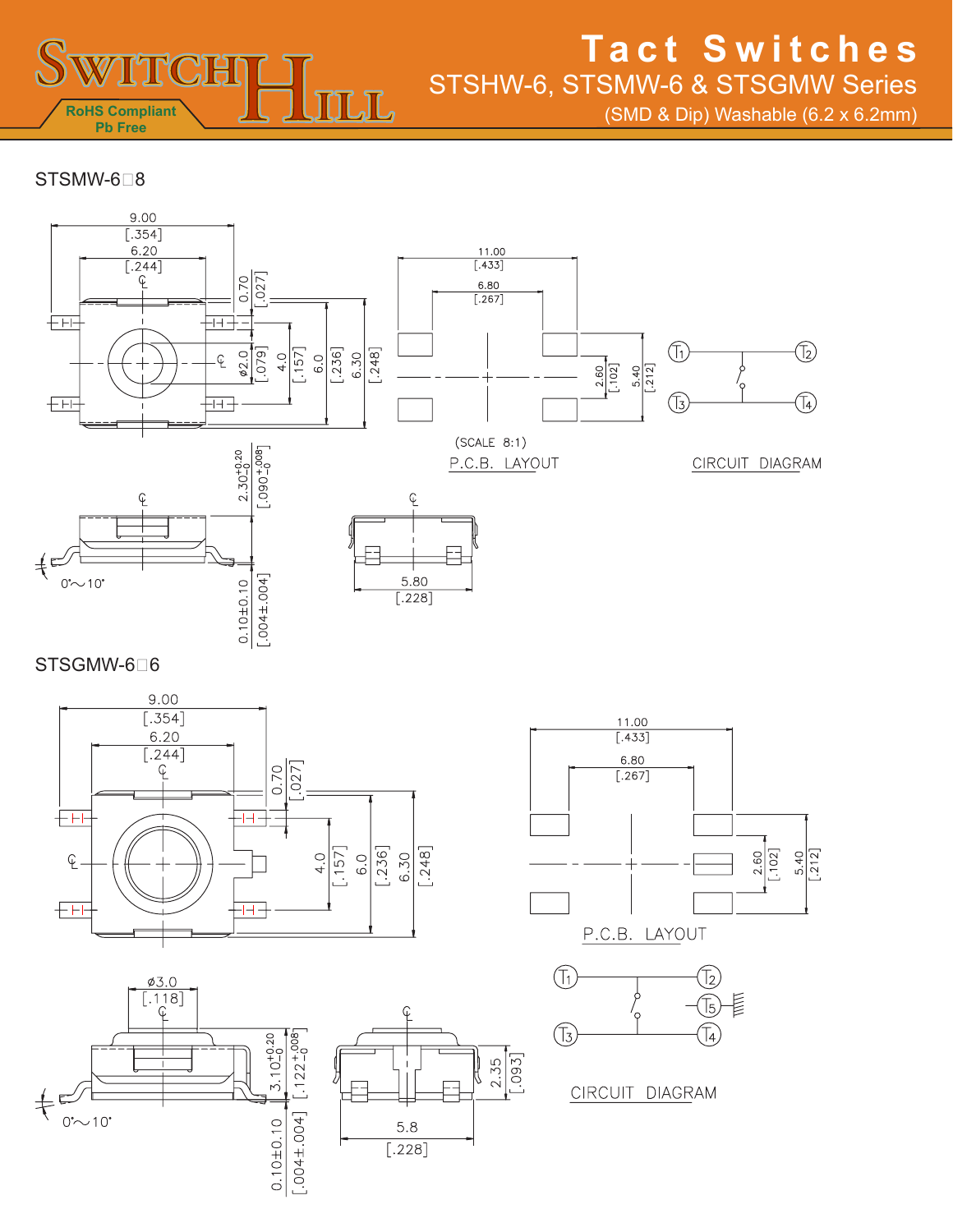

(SMD & Dip) Washable (6.2 x 6.2mm)

STSMW-6<sup>B</sup>



STSGMW-6<sup>1</sup>6









CIRCUIT DIAGRAM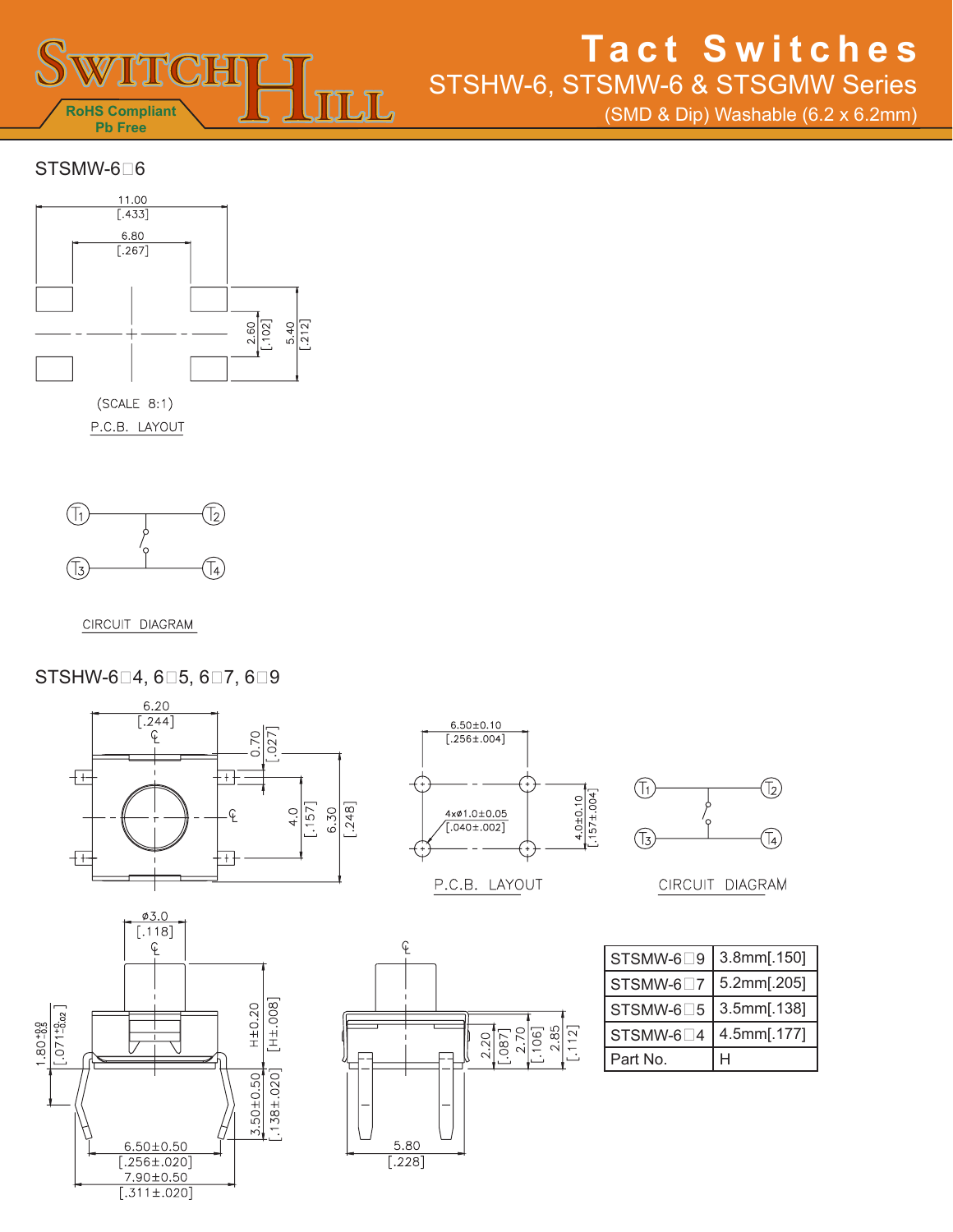

(SMD & Dip) Washable (6.2 x 6.2mm)

#### $STSMW-6<sub>0</sub>$ 6



P.C.B. LAYOUT



CIRCUIT DIAGRAM

### STSHW-6<sup>1</sup>4, 6<sup>15</sup>, 6<sup>17</sup>, 6<sup>9</sup>





P.C.B. LAYOUT



CIRCUIT DIAGRAM





| STSMW-6□9 | 3.8mm[.150] |
|-----------|-------------|
| STSMW-6□7 | 5.2mm[.205] |
| STSMW-6□5 | 3.5mm[.138] |
| STSMW-6□4 | 4.5mm[.177] |
| Part No.  |             |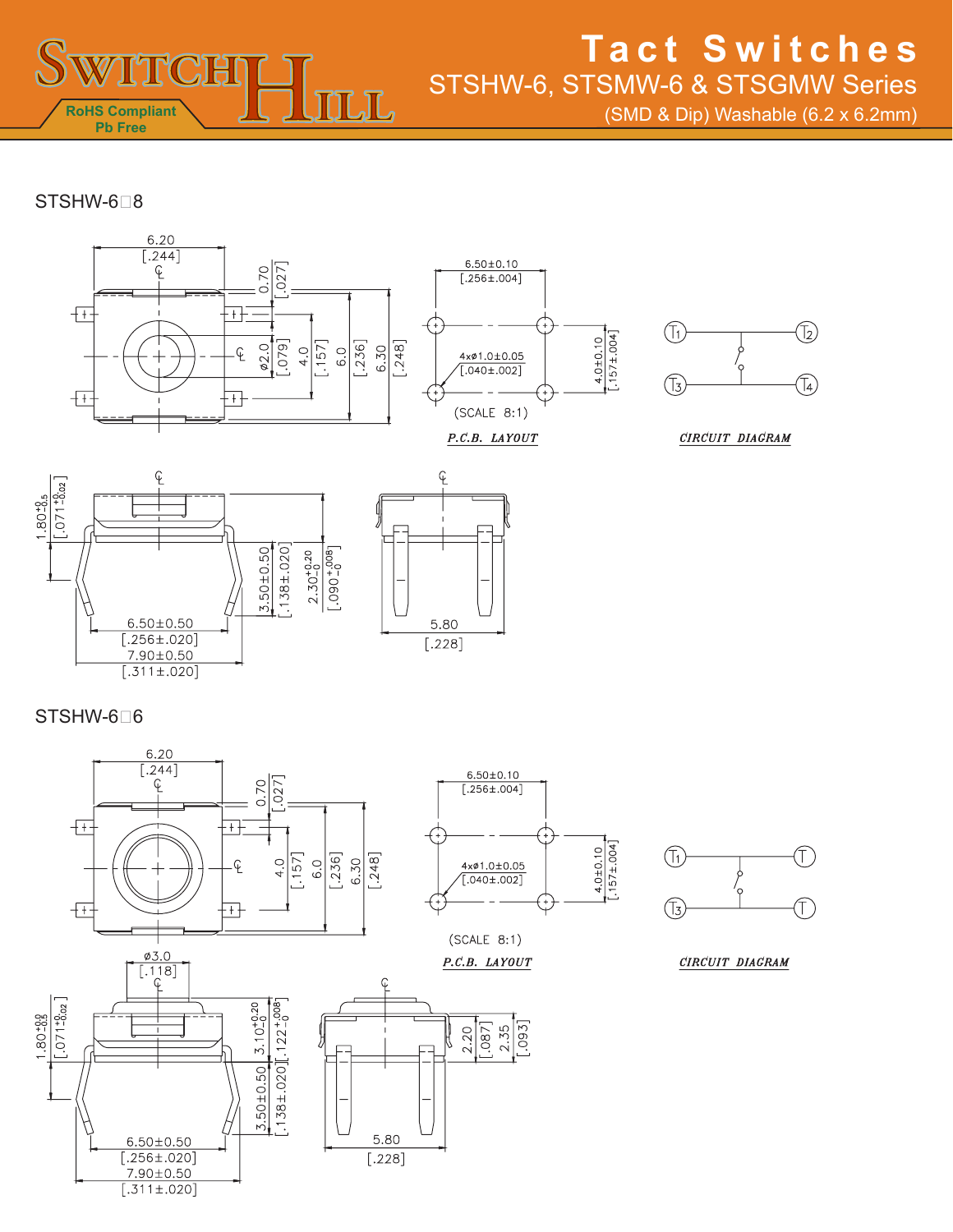

(SMD & Dip) Washable (6.2 x 6.2mm)

### $STSHW-6<sub>8</sub>$







STSHW-6<sup>0</sup>